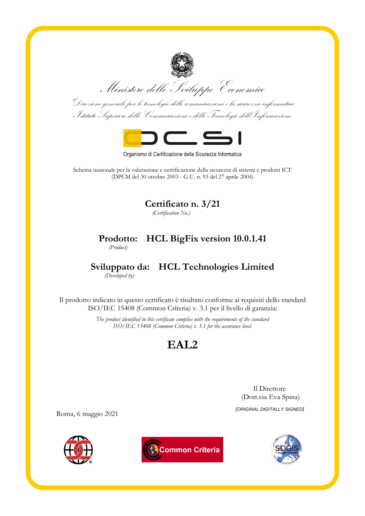Ministero dello Sviluppo Economico Direzione generale per le tecnologie delle comunicazioni e la sicurezza informatica Istituto Superiore delle Comunicazioni e delle Tecnologie dell'Informazione



Organismo di Certificazione della Sicurezza Informatica

Schema nazionale per la valutazione e certificazione della sicurezza di sistemi e prodotti ICT (DPCM del 30 ottobre 2003 - G.U. n. 93 del 27 aprile 2004)

> **Certificato n. 3/21** *(Certification No.)*

#### **Prodotto: HCL BigFix version 10.0.1.41** *(Product)*

## **Sviluppato da: HCL Technologies Limited**

*(Developed by)*

Il prodotto indicato in questo certificato è risultato conforme ai requisiti dello standard ISO/IEC 15408 (Common Criteria) v. 3.1 per il livello di garanzia:

> *The product identified in this certificate complies with the requirements of the standard ISO/IEC 15408 (Common Criteria) v. 3.1 for the assurance level:*

## **EAL2**

Il Direttore (Dott.ssa Eva Spina) *[ORIGINAL DIGITALLY SIGNED]*

Roma, 6 maggio 2021





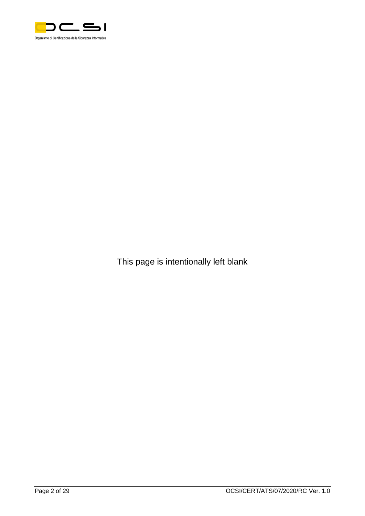

This page is intentionally left blank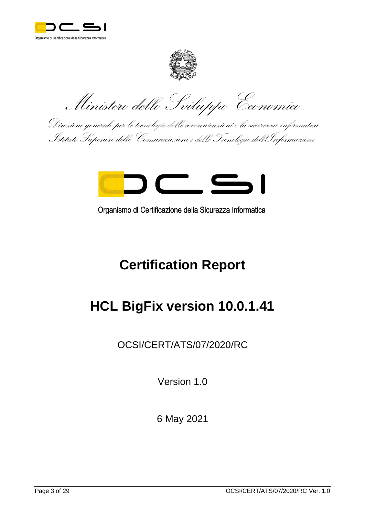



Ministero dello Sviluppo Economico

Direzione generale per le tecnologie delle comunicazioni e la sicurezza informatica Istituto Superiore delle Comunicazioni e delle Tecnologie dell'Informazione



Organismo di Certificazione della Sicurezza Informatica

## **Certification Report**

# **HCL BigFix version 10.0.1.41**

OCSI/CERT/ATS/07/2020/RC

Version 1.0

6 May 2021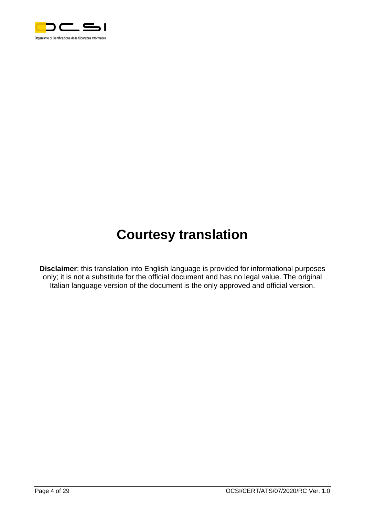

## **Courtesy translation**

**Disclaimer**: this translation into English language is provided for informational purposes only; it is not a substitute for the official document and has no legal value. The original Italian language version of the document is the only approved and official version.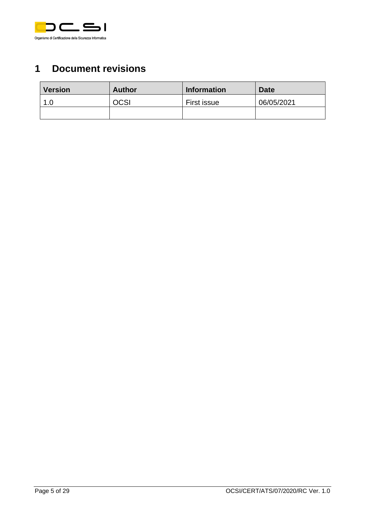

## <span id="page-4-0"></span>**1 Document revisions**

| <b>Version</b> | <b>Author</b> | <b>Information</b> | <b>Date</b> |
|----------------|---------------|--------------------|-------------|
| 0. ا           | <b>OCSI</b>   | First issue        | 06/05/2021  |
|                |               |                    |             |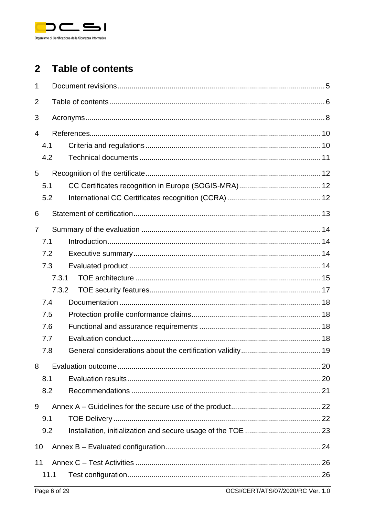

#### <span id="page-5-0"></span>**Table of contents**  $2<sup>7</sup>$

| 1              |      |       |  |
|----------------|------|-------|--|
| $\overline{2}$ |      |       |  |
| 3              |      |       |  |
| 4              |      |       |  |
|                | 4.1  |       |  |
|                | 4.2  |       |  |
| 5              |      |       |  |
|                | 5.1  |       |  |
|                | 5.2  |       |  |
| 6              |      |       |  |
| $\overline{7}$ |      |       |  |
|                | 7.1  |       |  |
|                | 7.2  |       |  |
|                | 7.3  |       |  |
|                |      | 7.3.1 |  |
|                |      | 7.3.2 |  |
|                | 7.4  |       |  |
|                | 7.5  |       |  |
|                | 7.6  |       |  |
|                | 7.7  |       |  |
|                | 7.8  |       |  |
| 8              |      |       |  |
|                | 8.1  |       |  |
|                | 8.2  |       |  |
| 9              |      |       |  |
|                | 9.1  |       |  |
|                | 9.2  |       |  |
| 10             |      |       |  |
| 11             |      |       |  |
|                | 11.1 |       |  |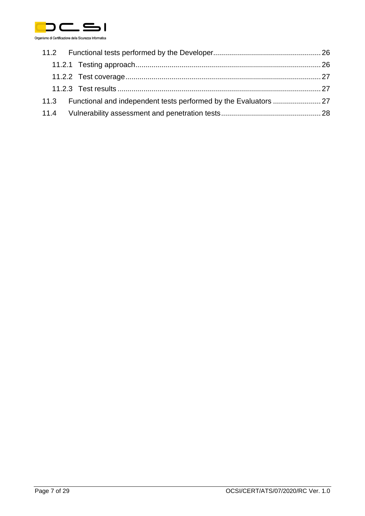

| 11.3 Functional and independent tests performed by the Evaluators |  |
|-------------------------------------------------------------------|--|
|                                                                   |  |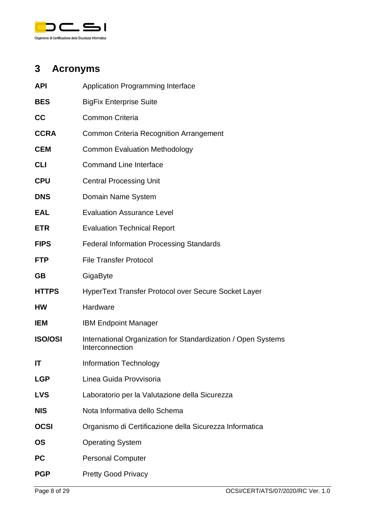

## <span id="page-7-0"></span>**3 Acronyms**

| <b>API</b>     | <b>Application Programming Interface</b>                                         |
|----------------|----------------------------------------------------------------------------------|
| <b>BES</b>     | <b>BigFix Enterprise Suite</b>                                                   |
| cc             | <b>Common Criteria</b>                                                           |
| <b>CCRA</b>    | <b>Common Criteria Recognition Arrangement</b>                                   |
| <b>CEM</b>     | <b>Common Evaluation Methodology</b>                                             |
| <b>CLI</b>     | <b>Command Line Interface</b>                                                    |
| <b>CPU</b>     | <b>Central Processing Unit</b>                                                   |
| <b>DNS</b>     | Domain Name System                                                               |
| <b>EAL</b>     | <b>Evaluation Assurance Level</b>                                                |
| <b>ETR</b>     | <b>Evaluation Technical Report</b>                                               |
| <b>FIPS</b>    | <b>Federal Information Processing Standards</b>                                  |
| <b>FTP</b>     | <b>File Transfer Protocol</b>                                                    |
| GB             | GigaByte                                                                         |
| <b>HTTPS</b>   | HyperText Transfer Protocol over Secure Socket Layer                             |
| HW             | Hardware                                                                         |
| <b>IEM</b>     | <b>IBM Endpoint Manager</b>                                                      |
| <b>ISO/OSI</b> | International Organization for Standardization / Open Systems<br>Interconnection |
| IT             | <b>Information Technology</b>                                                    |
| <b>LGP</b>     | Linea Guida Provvisoria                                                          |
| <b>LVS</b>     | Laboratorio per la Valutazione della Sicurezza                                   |
| <b>NIS</b>     | Nota Informativa dello Schema                                                    |
| <b>OCSI</b>    | Organismo di Certificazione della Sicurezza Informatica                          |
| <b>OS</b>      | <b>Operating System</b>                                                          |
| <b>PC</b>      | <b>Personal Computer</b>                                                         |
| <b>PGP</b>     | <b>Pretty Good Privacy</b>                                                       |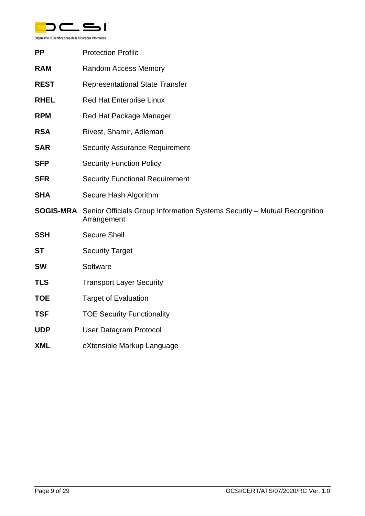

| <b>PP</b>   | <b>Protection Profile</b>                                                                                |
|-------------|----------------------------------------------------------------------------------------------------------|
| <b>RAM</b>  | <b>Random Access Memory</b>                                                                              |
| <b>REST</b> | <b>Representational State Transfer</b>                                                                   |
| <b>RHEL</b> | <b>Red Hat Enterprise Linux</b>                                                                          |
| <b>RPM</b>  | Red Hat Package Manager                                                                                  |
| <b>RSA</b>  | Rivest, Shamir, Adleman                                                                                  |
| <b>SAR</b>  | <b>Security Assurance Requirement</b>                                                                    |
| <b>SFP</b>  | <b>Security Function Policy</b>                                                                          |
| <b>SFR</b>  | <b>Security Functional Requirement</b>                                                                   |
| <b>SHA</b>  | Secure Hash Algorithm                                                                                    |
|             | <b>SOGIS-MRA</b> Senior Officials Group Information Systems Security – Mutual Recognition<br>Arrangement |
| <b>SSH</b>  | <b>Secure Shell</b>                                                                                      |
| <b>ST</b>   | <b>Security Target</b>                                                                                   |
| <b>SW</b>   | Software                                                                                                 |
| <b>TLS</b>  | <b>Transport Layer Security</b>                                                                          |
| <b>TOE</b>  | <b>Target of Evaluation</b>                                                                              |
| <b>TSF</b>  | <b>TOE Security Functionality</b>                                                                        |
| <b>UDP</b>  | User Datagram Protocol                                                                                   |
| <b>XML</b>  | eXtensible Markup Language                                                                               |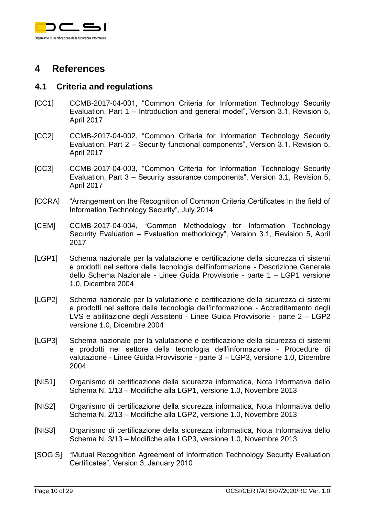

### <span id="page-9-0"></span>**4 References**

#### <span id="page-9-1"></span>**4.1 Criteria and regulations**

- [CC1] CCMB-2017-04-001, "Common Criteria for Information Technology Security Evaluation, Part 1 – Introduction and general model", Version 3.1, Revision 5, April 2017
- [CC2] CCMB-2017-04-002, "Common Criteria for Information Technology Security Evaluation, Part 2 – Security functional components", Version 3.1, Revision 5, April 2017
- [CC3] CCMB-2017-04-003, "Common Criteria for Information Technology Security Evaluation, Part 3 – Security assurance components", Version 3.1, Revision 5, April 2017
- [CCRA] "Arrangement on the Recognition of Common Criteria Certificates In the field of Information Technology Security", July 2014
- [CEM] CCMB-2017-04-004, "Common Methodology for Information Technology Security Evaluation – Evaluation methodology", Version 3.1, Revision 5, April 2017
- [LGP1] Schema nazionale per la valutazione e certificazione della sicurezza di sistemi e prodotti nel settore della tecnologia dell'informazione - Descrizione Generale dello Schema Nazionale - Linee Guida Provvisorie - parte 1 – LGP1 versione 1.0, Dicembre 2004
- [LGP2] Schema nazionale per la valutazione e certificazione della sicurezza di sistemi e prodotti nel settore della tecnologia dell'informazione - Accreditamento degli LVS e abilitazione degli Assistenti - Linee Guida Provvisorie - parte 2 – LGP2 versione 1.0, Dicembre 2004
- [LGP3] Schema nazionale per la valutazione e certificazione della sicurezza di sistemi e prodotti nel settore della tecnologia dell'informazione - Procedure di valutazione - Linee Guida Provvisorie - parte 3 – LGP3, versione 1.0, Dicembre 2004
- [NIS1] Organismo di certificazione della sicurezza informatica, Nota Informativa dello Schema N. 1/13 – Modifiche alla LGP1, versione 1.0, Novembre 2013
- [NIS2] Organismo di certificazione della sicurezza informatica, Nota Informativa dello Schema N. 2/13 – Modifiche alla LGP2, versione 1.0, Novembre 2013
- [NIS3] Organismo di certificazione della sicurezza informatica, Nota Informativa dello Schema N. 3/13 – Modifiche alla LGP3, versione 1.0, Novembre 2013
- [SOGIS] "Mutual Recognition Agreement of Information Technology Security Evaluation Certificates", Version 3, January 2010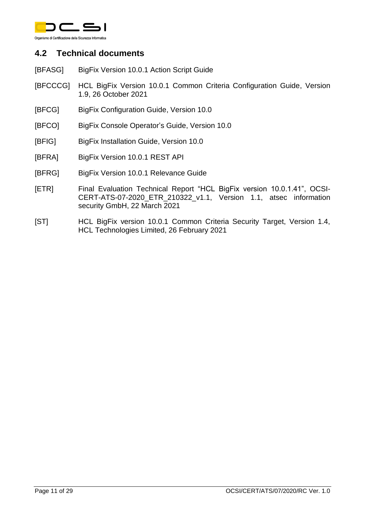

#### <span id="page-10-0"></span>**4.2 Technical documents**

- [BFASG] BigFix Version 10.0.1 Action Script Guide
- [BFCCCG] HCL BigFix Version 10.0.1 Common Criteria Configuration Guide, Version 1.9, 26 October 2021
- [BFCG] BigFix Configuration Guide, Version 10.0
- [BFCO] BigFix Console Operator's Guide, Version 10.0
- [BFIG] BigFix Installation Guide, Version 10.0
- [BFRA] BigFix Version 10.0.1 REST API
- [BFRG] BigFix Version 10.0.1 Relevance Guide
- [ETR] Final Evaluation Technical Report "HCL BigFix version 10.0.1.41", OCSI-CERT-ATS-07-2020\_ETR\_210322\_v1.1, Version 1.1, atsec information security GmbH, 22 March 2021
- [ST] HCL BigFix version 10.0.1 Common Criteria Security Target, Version 1.4, HCL Technologies Limited, 26 February 2021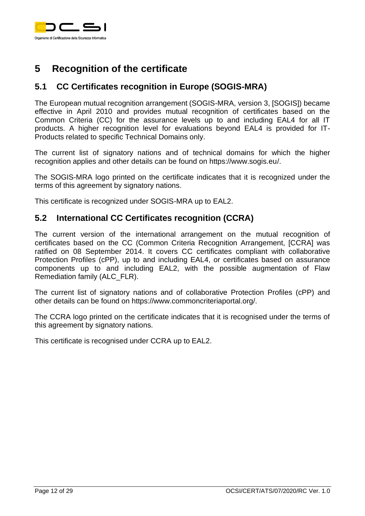

## <span id="page-11-0"></span>**5 Recognition of the certificate**

#### <span id="page-11-1"></span>**5.1 CC Certificates recognition in Europe (SOGIS-MRA)**

The European mutual recognition arrangement (SOGIS-MRA, version 3, [SOGIS]) became effective in April 2010 and provides mutual recognition of certificates based on the Common Criteria (CC) for the assurance levels up to and including EAL4 for all IT products. A higher recognition level for evaluations beyond EAL4 is provided for IT-Products related to specific Technical Domains only.

The current list of signatory nations and of technical domains for which the higher recognition applies and other details can be found on https://www.sogis.eu/.

The SOGIS-MRA logo printed on the certificate indicates that it is recognized under the terms of this agreement by signatory nations.

This certificate is recognized under SOGIS-MRA up to EAL2.

#### <span id="page-11-2"></span>**5.2 International CC Certificates recognition (CCRA)**

The current version of the international arrangement on the mutual recognition of certificates based on the CC (Common Criteria Recognition Arrangement, [CCRA] was ratified on 08 September 2014. It covers CC certificates compliant with collaborative Protection Profiles (cPP), up to and including EAL4, or certificates based on assurance components up to and including EAL2, with the possible augmentation of Flaw Remediation family (ALC\_FLR).

The current list of signatory nations and of collaborative Protection Profiles (cPP) and other details can be found on https://www.commoncriteriaportal.org/.

The CCRA logo printed on the certificate indicates that it is recognised under the terms of this agreement by signatory nations.

This certificate is recognised under CCRA up to EAL2.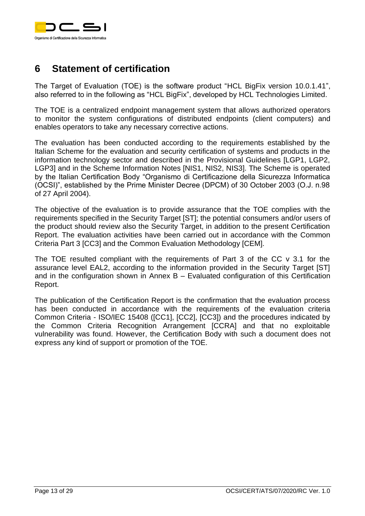

## <span id="page-12-0"></span>**6 Statement of certification**

The Target of Evaluation (TOE) is the software product "HCL BigFix version 10.0.1.41", also referred to in the following as "HCL BigFix", developed by HCL Technologies Limited.

The TOE is a centralized endpoint management system that allows authorized operators to monitor the system configurations of distributed endpoints (client computers) and enables operators to take any necessary corrective actions.

The evaluation has been conducted according to the requirements established by the Italian Scheme for the evaluation and security certification of systems and products in the information technology sector and described in the Provisional Guidelines [LGP1, LGP2, LGP3] and in the Scheme Information Notes [NIS1, NIS2, NIS3]. The Scheme is operated by the Italian Certification Body "Organismo di Certificazione della Sicurezza Informatica (OCSI)", established by the Prime Minister Decree (DPCM) of 30 October 2003 (O.J. n.98 of 27 April 2004).

The objective of the evaluation is to provide assurance that the TOE complies with the requirements specified in the Security Target [ST]; the potential consumers and/or users of the product should review also the Security Target, in addition to the present Certification Report. The evaluation activities have been carried out in accordance with the Common Criteria Part 3 [CC3] and the Common Evaluation Methodology [CEM].

The TOE resulted compliant with the requirements of Part 3 of the CC v 3.1 for the assurance level EAL2, according to the information provided in the Security Target [ST] and in the configuration shown in Annex  $B -$  [Evaluated configuration](#page-23-0) of this Certification Report.

The publication of the Certification Report is the confirmation that the evaluation process has been conducted in accordance with the requirements of the evaluation criteria Common Criteria - ISO/IEC 15408 ([CC1], [CC2], [CC3]) and the procedures indicated by the Common Criteria Recognition Arrangement [CCRA] and that no exploitable vulnerability was found. However, the Certification Body with such a document does not express any kind of support or promotion of the TOE.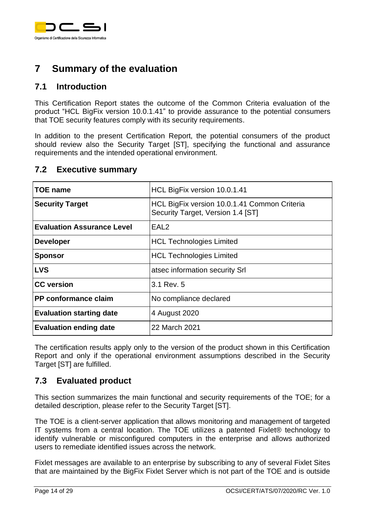

## <span id="page-13-0"></span>**7 Summary of the evaluation**

#### <span id="page-13-1"></span>**7.1 Introduction**

This Certification Report states the outcome of the Common Criteria evaluation of the product "HCL BigFix version 10.0.1.41" to provide assurance to the potential consumers that TOE security features comply with its security requirements.

In addition to the present Certification Report, the potential consumers of the product should review also the Security Target [ST], specifying the functional and assurance requirements and the intended operational environment.

| <b>TOE name</b>                   | HCL BigFix version 10.0.1.41                                                      |
|-----------------------------------|-----------------------------------------------------------------------------------|
| <b>Security Target</b>            | HCL BigFix version 10.0.1.41 Common Criteria<br>Security Target, Version 1.4 [ST] |
| <b>Evaluation Assurance Level</b> | EAL <sub>2</sub>                                                                  |
| <b>Developer</b>                  | <b>HCL Technologies Limited</b>                                                   |
| <b>Sponsor</b>                    | <b>HCL Technologies Limited</b>                                                   |
| <b>LVS</b>                        | atsec information security Srl                                                    |
| <b>CC</b> version                 | 3.1 Rev. 5                                                                        |
| PP conformance claim              | No compliance declared                                                            |
| <b>Evaluation starting date</b>   | 4 August 2020                                                                     |
| <b>Evaluation ending date</b>     | 22 March 2021                                                                     |

#### <span id="page-13-2"></span>**7.2 Executive summary**

The certification results apply only to the version of the product shown in this Certification Report and only if the operational environment assumptions described in the Security Target [ST] are fulfilled.

#### <span id="page-13-3"></span>**7.3 Evaluated product**

This section summarizes the main functional and security requirements of the TOE; for a detailed description, please refer to the Security Target [ST].

The TOE is a client-server application that allows monitoring and management of targeted IT systems from a central location. The TOE utilizes a patented Fixlet® technology to identify vulnerable or misconfigured computers in the enterprise and allows authorized users to remediate identified issues across the network.

Fixlet messages are available to an enterprise by subscribing to any of several Fixlet Sites that are maintained by the BigFix Fixlet Server which is not part of the TOE and is outside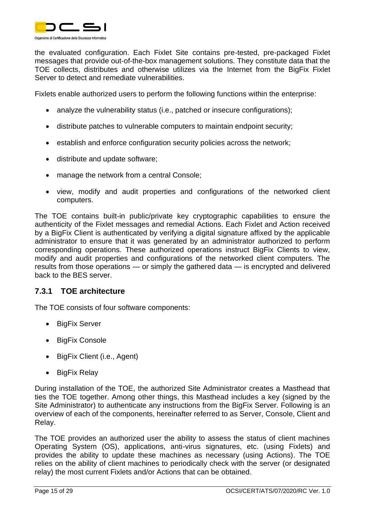

the evaluated configuration. Each Fixlet Site contains pre-tested, pre-packaged Fixlet messages that provide out-of-the-box management solutions. They constitute data that the TOE collects, distributes and otherwise utilizes via the Internet from the BigFix Fixlet Server to detect and remediate vulnerabilities.

Fixlets enable authorized users to perform the following functions within the enterprise:

- analyze the vulnerability status (i.e., patched or insecure configurations);
- distribute patches to vulnerable computers to maintain endpoint security;
- establish and enforce configuration security policies across the network;
- distribute and update software;
- manage the network from a central Console;
- view, modify and audit properties and configurations of the networked client computers.

The TOE contains built-in public/private key cryptographic capabilities to ensure the authenticity of the Fixlet messages and remedial Actions. Each Fixlet and Action received by a BigFix Client is authenticated by verifying a digital signature affixed by the applicable administrator to ensure that it was generated by an administrator authorized to perform corresponding operations. These authorized operations instruct BigFix Clients to view, modify and audit properties and configurations of the networked client computers. The results from those operations — or simply the gathered data — is encrypted and delivered back to the BES server.

#### <span id="page-14-0"></span>**7.3.1 TOE architecture**

The TOE consists of four software components:

- BigFix Server
- BigFix Console
- BigFix Client (i.e., Agent)
- BigFix Relay

During installation of the TOE, the authorized Site Administrator creates a Masthead that ties the TOE together. Among other things, this Masthead includes a key (signed by the Site Administrator) to authenticate any instructions from the BigFix Server. Following is an overview of each of the components, hereinafter referred to as Server, Console, Client and Relay.

The TOE provides an authorized user the ability to assess the status of client machines Operating System (OS), applications, anti-virus signatures, etc. (using Fixlets) and provides the ability to update these machines as necessary (using Actions). The TOE relies on the ability of client machines to periodically check with the server (or designated relay) the most current Fixlets and/or Actions that can be obtained.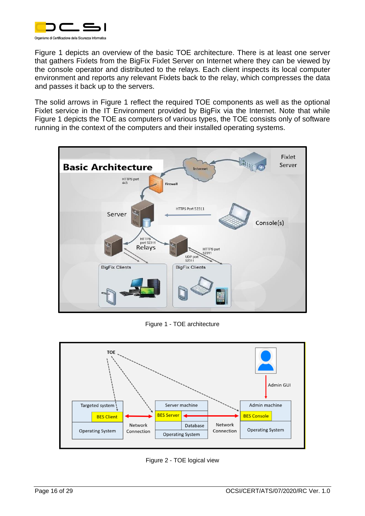

[Figure 1](#page-15-0) depicts an overview of the basic TOE architecture. There is at least one server that gathers Fixlets from the BigFix Fixlet Server on Internet where they can be viewed by the console operator and distributed to the relays. Each client inspects its local computer environment and reports any relevant Fixlets back to the relay, which compresses the data and passes it back up to the servers.

The solid arrows in [Figure 1](#page-15-0) reflect the required TOE components as well as the optional Fixlet service in the IT Environment provided by BigFix via the Internet. Note that while [Figure 1](#page-15-0) depicts the TOE as computers of various types, the TOE consists only of software running in the context of the computers and their installed operating systems.



Figure 1 - TOE architecture

<span id="page-15-0"></span>![](_page_15_Figure_5.jpeg)

<span id="page-15-1"></span>Figure 2 - TOE logical view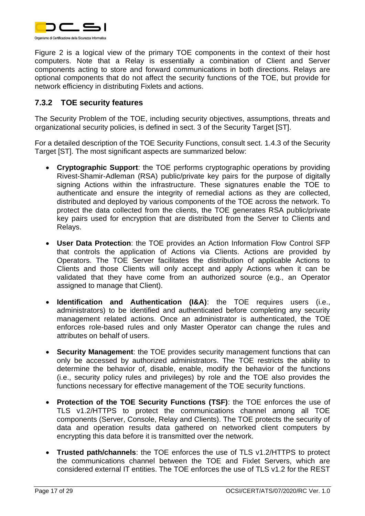![](_page_16_Picture_0.jpeg)

[Figure 2](#page-15-1) is a logical view of the primary TOE components in the context of their host computers. Note that a Relay is essentially a combination of Client and Server components acting to store and forward communications in both directions. Relays are optional components that do not affect the security functions of the TOE, but provide for network efficiency in distributing Fixlets and actions.

#### <span id="page-16-0"></span>**7.3.2 TOE security features**

The Security Problem of the TOE, including security objectives, assumptions, threats and organizational security policies, is defined in sect. 3 of the Security Target [ST].

For a detailed description of the TOE Security Functions, consult sect. 1.4.3 of the Security Target [ST]. The most significant aspects are summarized below:

- **Cryptographic Support**: the TOE performs cryptographic operations by providing Rivest-Shamir-Adleman (RSA) public/private key pairs for the purpose of digitally signing Actions within the infrastructure. These signatures enable the TOE to authenticate and ensure the integrity of remedial actions as they are collected, distributed and deployed by various components of the TOE across the network. To protect the data collected from the clients, the TOE generates RSA public/private key pairs used for encryption that are distributed from the Server to Clients and Relays.
- **User Data Protection**: the TOE provides an Action Information Flow Control SFP that controls the application of Actions via Clients. Actions are provided by Operators. The TOE Server facilitates the distribution of applicable Actions to Clients and those Clients will only accept and apply Actions when it can be validated that they have come from an authorized source (e.g., an Operator assigned to manage that Client).
- **Identification and Authentication (I&A)**: the TOE requires users (i.e., administrators) to be identified and authenticated before completing any security management related actions. Once an administrator is authenticated, the TOE enforces role-based rules and only Master Operator can change the rules and attributes on behalf of users.
- **Security Management**: the TOE provides security management functions that can only be accessed by authorized administrators. The TOE restricts the ability to determine the behavior of, disable, enable, modify the behavior of the functions (i.e., security policy rules and privileges) by role and the TOE also provides the functions necessary for effective management of the TOE security functions.
- **Protection of the TOE Security Functions (TSF)**: the TOE enforces the use of TLS v1.2/HTTPS to protect the communications channel among all TOE components (Server, Console, Relay and Clients). The TOE protects the security of data and operation results data gathered on networked client computers by encrypting this data before it is transmitted over the network.
- **Trusted path/channels**: the TOE enforces the use of TLS v1.2/HTTPS to protect the communications channel between the TOE and Fixlet Servers, which are considered external IT entities. The TOE enforces the use of TLS v1.2 for the REST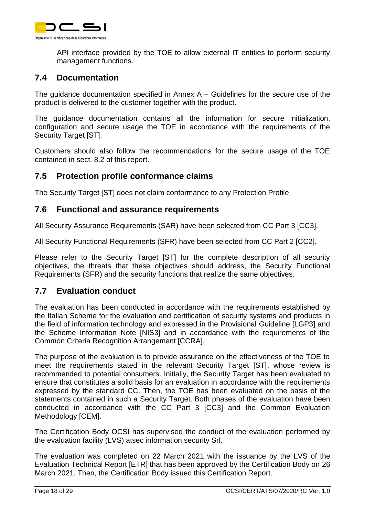![](_page_17_Picture_0.jpeg)

API interface provided by the TOE to allow external IT entities to perform security management functions.

#### <span id="page-17-0"></span>**7.4 Documentation**

The guidance documentation specified in Annex  $A -$  Guidelines for the secure use of the [product](#page-21-0) is delivered to the customer together with the product.

The guidance documentation contains all the information for secure initialization, configuration and secure usage the TOE in accordance with the requirements of the Security Target [ST].

Customers should also follow the recommendations for the secure usage of the TOE contained in sect. [8.2](#page-20-0) of this report.

#### <span id="page-17-1"></span>**7.5 Protection profile conformance claims**

<span id="page-17-2"></span>The Security Target [ST] does not claim conformance to any Protection Profile.

#### **7.6 Functional and assurance requirements**

All Security Assurance Requirements (SAR) have been selected from CC Part 3 [CC3].

All Security Functional Requirements (SFR) have been selected from CC Part 2 [CC2].

Please refer to the Security Target [ST] for the complete description of all security objectives, the threats that these objectives should address, the Security Functional Requirements (SFR) and the security functions that realize the same objectives.

#### <span id="page-17-3"></span>**7.7 Evaluation conduct**

The evaluation has been conducted in accordance with the requirements established by the Italian Scheme for the evaluation and certification of security systems and products in the field of information technology and expressed in the Provisional Guideline [LGP3] and the Scheme Information Note [NIS3] and in accordance with the requirements of the Common Criteria Recognition Arrangement [CCRA].

The purpose of the evaluation is to provide assurance on the effectiveness of the TOE to meet the requirements stated in the relevant Security Target [ST], whose review is recommended to potential consumers. Initially, the Security Target has been evaluated to ensure that constitutes a solid basis for an evaluation in accordance with the requirements expressed by the standard CC. Then, the TOE has been evaluated on the basis of the statements contained in such a Security Target. Both phases of the evaluation have been conducted in accordance with the CC Part 3 [CC3] and the Common Evaluation Methodology [CEM].

The Certification Body OCSI has supervised the conduct of the evaluation performed by the evaluation facility (LVS) atsec information security Srl.

The evaluation was completed on 22 March 2021 with the issuance by the LVS of the Evaluation Technical Report [ETR] that has been approved by the Certification Body on 26 March 2021. Then, the Certification Body issued this Certification Report.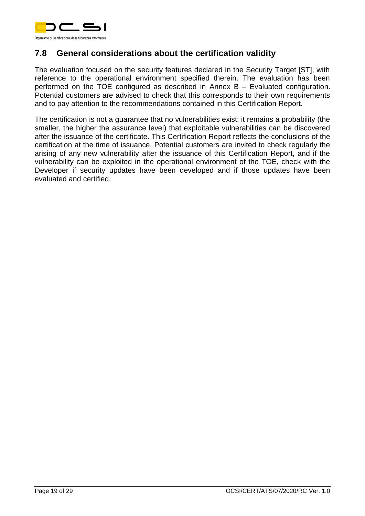![](_page_18_Picture_0.jpeg)

#### <span id="page-18-0"></span>**7.8 General considerations about the certification validity**

The evaluation focused on the security features declared in the Security Target [ST], with reference to the operational environment specified therein. The evaluation has been performed on the TOE configured as described in Annex B – [Evaluated configuration.](#page-23-0) Potential customers are advised to check that this corresponds to their own requirements and to pay attention to the recommendations contained in this Certification Report.

The certification is not a guarantee that no vulnerabilities exist; it remains a probability (the smaller, the higher the assurance level) that exploitable vulnerabilities can be discovered after the issuance of the certificate. This Certification Report reflects the conclusions of the certification at the time of issuance. Potential customers are invited to check regularly the arising of any new vulnerability after the issuance of this Certification Report, and if the vulnerability can be exploited in the operational environment of the TOE, check with the Developer if security updates have been developed and if those updates have been evaluated and certified.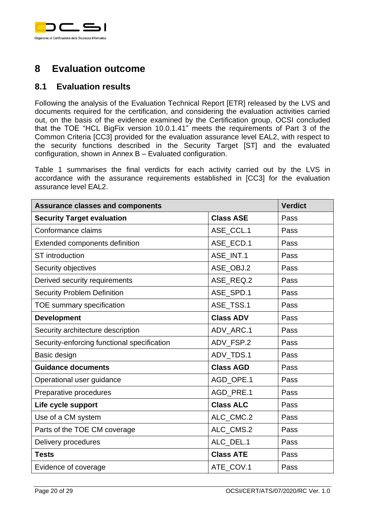![](_page_19_Picture_0.jpeg)

## <span id="page-19-0"></span>**8 Evaluation outcome**

#### <span id="page-19-1"></span>**8.1 Evaluation results**

Following the analysis of the Evaluation Technical Report [ETR] released by the LVS and documents required for the certification, and considering the evaluation activities carried out, on the basis of the evidence examined by the Certification group, OCSI concluded that the TOE "HCL BigFix version 10.0.1.41" meets the requirements of Part 3 of the Common Criteria [CC3] provided for the evaluation assurance level EAL2, with respect to the security functions described in the Security Target [ST] and the evaluated configuration, shown in Annex B – [Evaluated configuration.](#page-23-0)

[Table 1](#page-20-1) summarises the final verdicts for each activity carried out by the LVS in accordance with the assurance requirements established in [CC3] for the evaluation assurance level EAL2.

| <b>Assurance classes and components</b>     | <b>Verdict</b>   |      |
|---------------------------------------------|------------------|------|
| <b>Security Target evaluation</b>           | <b>Class ASE</b> | Pass |
| Conformance claims                          | ASE_CCL.1        | Pass |
| Extended components definition              | ASE_ECD.1        | Pass |
| ST introduction                             | ASE_INT.1        | Pass |
| Security objectives                         | ASE_OBJ.2        | Pass |
| Derived security requirements               | ASE_REQ.2        | Pass |
| <b>Security Problem Definition</b>          | ASE_SPD.1        | Pass |
| TOE summary specification                   | ASE_TSS.1        | Pass |
| <b>Development</b>                          | <b>Class ADV</b> | Pass |
| Security architecture description           | ADV_ARC.1        | Pass |
| Security-enforcing functional specification | ADV_FSP.2        | Pass |
| Basic design                                | ADV_TDS.1        | Pass |
| <b>Guidance documents</b>                   | <b>Class AGD</b> | Pass |
| Operational user guidance                   | AGD_OPE.1        | Pass |
| Preparative procedures                      | AGD_PRE.1        | Pass |
| Life cycle support                          | <b>Class ALC</b> | Pass |
| Use of a CM system                          | ALC_CMC.2        | Pass |
| Parts of the TOE CM coverage                | ALC_CMS.2        | Pass |
| Delivery procedures                         | ALC_DEL.1        | Pass |
| <b>Tests</b>                                | <b>Class ATE</b> | Pass |
| Evidence of coverage                        | ATE_COV.1        | Pass |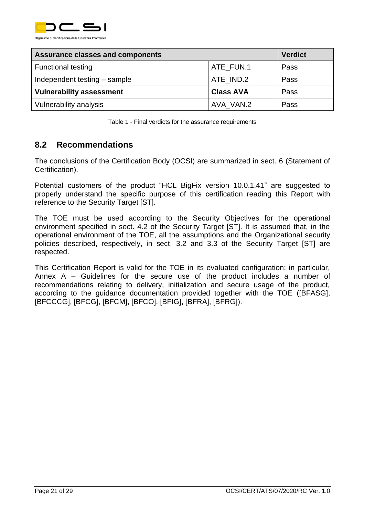![](_page_20_Picture_0.jpeg)

| <b>Assurance classes and components</b> |                  | <b>Verdict</b> |
|-----------------------------------------|------------------|----------------|
| <b>Functional testing</b>               | ATE FUN.1        | Pass           |
| Independent testing – sample            | ATE IND.2        | Pass           |
| <b>Vulnerability assessment</b>         | <b>Class AVA</b> | Pass           |
| Vulnerability analysis                  | AVA VAN.2        | Pass           |

Table 1 - Final verdicts for the assurance requirements

#### <span id="page-20-1"></span><span id="page-20-0"></span>**8.2 Recommendations**

The conclusions of the Certification Body (OCSI) are summarized in sect. [6](#page-12-0) (Statement of Certification).

Potential customers of the product "HCL BigFix version 10.0.1.41" are suggested to properly understand the specific purpose of this certification reading this Report with reference to the Security Target [ST].

The TOE must be used according to the Security Objectives for the operational environment specified in sect. 4.2 of the Security Target [ST]. It is assumed that, in the operational environment of the TOE, all the assumptions and the Organizational security policies described, respectively, in sect. 3.2 and 3.3 of the Security Target [ST] are respected.

This Certification Report is valid for the TOE in its evaluated configuration; in particular, Annex A – [Guidelines for the secure use of the product](#page-21-0) includes a number of recommendations relating to delivery, initialization and secure usage of the product, according to the guidance documentation provided together with the TOE ([BFASG], [BFCCCG], [BFCG], [BFCM], [BFCO], [BFIG], [BFRA], [BFRG]).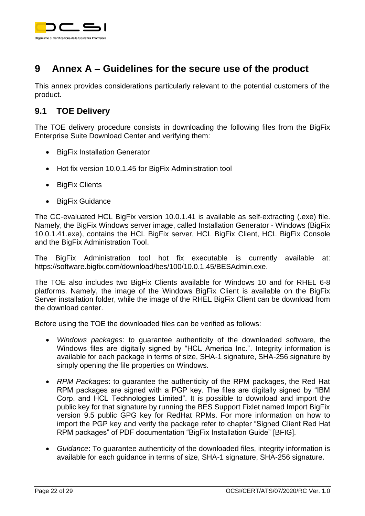![](_page_21_Picture_0.jpeg)

## <span id="page-21-0"></span>**9 Annex A – Guidelines for the secure use of the product**

This annex provides considerations particularly relevant to the potential customers of the product.

### <span id="page-21-1"></span>**9.1 TOE Delivery**

The TOE delivery procedure consists in downloading the following files from the BigFix Enterprise Suite Download Center and verifying them:

- BigFix Installation Generator
- Hot fix version 10.0.1.45 for BigFix Administration tool
- BigFix Clients
- BigFix Guidance

The CC-evaluated HCL BigFix version 10.0.1.41 is available as self-extracting (.exe) file. Namely, the BigFix Windows server image, called Installation Generator - Windows (BigFix 10.0.1.41.exe), contains the HCL BigFix server, HCL BigFix Client, HCL BigFix Console and the BigFix Administration Tool.

The BigFix Administration tool hot fix executable is currently available at: https://software.bigfix.com/download/bes/100/10.0.1.45/BESAdmin.exe.

The TOE also includes two BigFix Clients available for Windows 10 and for RHEL 6-8 platforms. Namely, the image of the Windows BigFix Client is available on the BigFix Server installation folder, while the image of the RHEL BigFix Client can be download from the download center.

Before using the TOE the downloaded files can be verified as follows:

- *Windows packages*: to guarantee authenticity of the downloaded software, the Windows files are digitally signed by "HCL America Inc.". Integrity information is available for each package in terms of size, SHA-1 signature, SHA-256 signature by simply opening the file properties on Windows.
- *RPM Packages*: to guarantee the authenticity of the RPM packages, the Red Hat RPM packages are signed with a PGP key. The files are digitally signed by "IBM Corp. and HCL Technologies Limited". It is possible to download and import the public key for that signature by running the BES Support Fixlet named Import BigFix version 9.5 public GPG key for RedHat RPMs. For more information on how to import the PGP key and verify the package refer to chapter "Signed Client Red Hat RPM packages" of PDF documentation "BigFix Installation Guide" [BFIG].
- *Guidance*: To guarantee authenticity of the downloaded files, integrity information is available for each guidance in terms of size, SHA-1 signature, SHA-256 signature.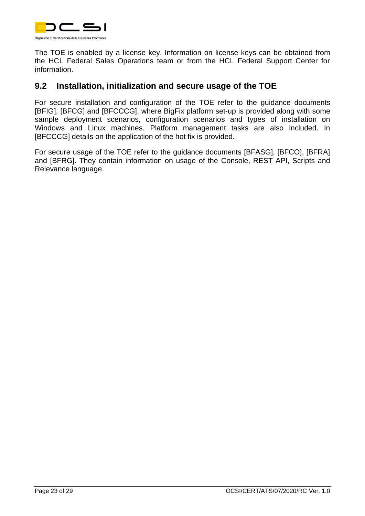![](_page_22_Picture_0.jpeg)

The TOE is enabled by a license key. Information on license keys can be obtained from the HCL Federal Sales Operations team or from the HCL Federal Support Center for information.

#### <span id="page-22-0"></span>**9.2 Installation, initialization and secure usage of the TOE**

For secure installation and configuration of the TOE refer to the guidance documents [BFIG], [BFCG] and [BFCCCG], where BigFix platform set-up is provided along with some sample deployment scenarios, configuration scenarios and types of installation on Windows and Linux machines. Platform management tasks are also included. In [BFCCCG] details on the application of the hot fix is provided.

For secure usage of the TOE refer to the guidance documents [BFASG], [BFCO], [BFRA] and [BFRG]. They contain information on usage of the Console, REST API, Scripts and Relevance language.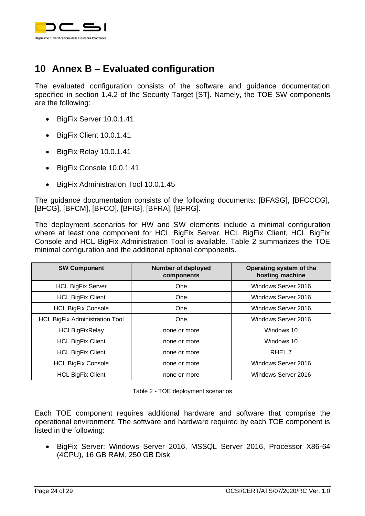![](_page_23_Picture_0.jpeg)

## <span id="page-23-0"></span>**10 Annex B – Evaluated configuration**

The evaluated configuration consists of the software and guidance documentation specified in section 1.4.2 of the Security Target [ST]. Namely, the TOE SW components are the following:

- BigFix Server 10.0.1.41
- BigFix Client 10.0.1.41
- BigFix Relay 10.0.1.41
- BigFix Console 10.0.1.41
- BigFix Administration Tool 10.0.1.45

The guidance documentation consists of the following documents: [BFASG], [BFCCCG], [BFCG], [BFCM], [BFCO], [BFIG], [BFRA], [BFRG].

The deployment scenarios for HW and SW elements include a minimal configuration where at least one component for HCL BigFix Server, HCL BigFix Client, HCL BigFix Console and HCL BigFix Administration Tool is available. [Table 2](#page-23-1) summarizes the TOE minimal configuration and the additional optional components.

| <b>SW Component</b>                   | <b>Number of deployed</b><br>components | Operating system of the<br>hosting machine |
|---------------------------------------|-----------------------------------------|--------------------------------------------|
| <b>HCL BigFix Server</b>              | One                                     | Windows Server 2016                        |
| <b>HCL BigFix Client</b>              | <b>One</b>                              | Windows Server 2016                        |
| <b>HCL BigFix Console</b>             | <b>One</b>                              | Windows Server 2016                        |
| <b>HCL BigFix Administration Tool</b> | <b>One</b>                              | Windows Server 2016                        |
| <b>HCLBigFixRelay</b>                 | none or more                            | Windows 10                                 |
| <b>HCL BigFix Client</b>              | none or more                            | Windows 10                                 |
| <b>HCL BigFix Client</b>              | none or more                            | RHEL 7                                     |
| <b>HCL BigFix Console</b>             | none or more                            | Windows Server 2016                        |
| <b>HCL BigFix Client</b>              | none or more                            | Windows Server 2016                        |

Table 2 - TOE deployment scenarios

<span id="page-23-1"></span>Each TOE component requires additional hardware and software that comprise the operational environment. The software and hardware required by each TOE component is listed in the following:

• BigFix Server: Windows Server 2016, MSSQL Server 2016, Processor X86-64 (4CPU), 16 GB RAM, 250 GB Disk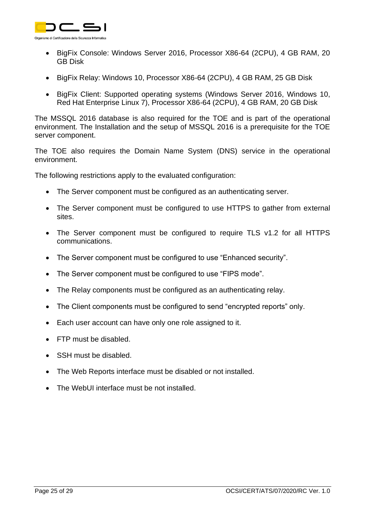![](_page_24_Picture_0.jpeg)

- BigFix Console: Windows Server 2016, Processor X86-64 (2CPU), 4 GB RAM, 20 GB Disk
- BigFix Relay: Windows 10, Processor X86-64 (2CPU), 4 GB RAM, 25 GB Disk
- BigFix Client: Supported operating systems (Windows Server 2016, Windows 10, Red Hat Enterprise Linux 7), Processor X86-64 (2CPU), 4 GB RAM, 20 GB Disk

The MSSQL 2016 database is also required for the TOE and is part of the operational environment. The Installation and the setup of MSSQL 2016 is a prerequisite for the TOE server component.

The TOE also requires the Domain Name System (DNS) service in the operational environment.

The following restrictions apply to the evaluated configuration:

- The Server component must be configured as an authenticating server.
- The Server component must be configured to use HTTPS to gather from external sites.
- The Server component must be configured to require TLS v1.2 for all HTTPS communications.
- The Server component must be configured to use "Enhanced security".
- The Server component must be configured to use "FIPS mode".
- The Relay components must be configured as an authenticating relay.
- The Client components must be configured to send "encrypted reports" only.
- Each user account can have only one role assigned to it.
- FTP must be disabled.
- SSH must be disabled.
- The Web Reports interface must be disabled or not installed.
- The WebUI interface must be not installed.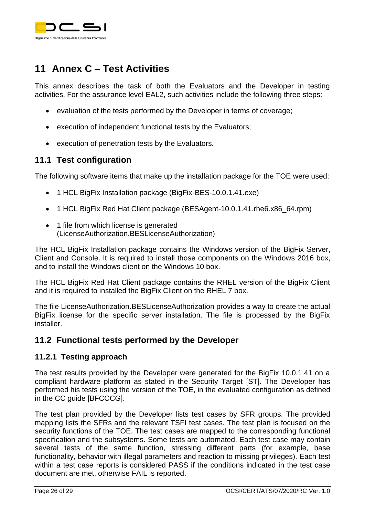![](_page_25_Picture_0.jpeg)

## <span id="page-25-0"></span>**11 Annex C – Test Activities**

This annex describes the task of both the Evaluators and the Developer in testing activities. For the assurance level EAL2, such activities include the following three steps:

- evaluation of the tests performed by the Developer in terms of coverage;
- execution of independent functional tests by the Evaluators;
- execution of penetration tests by the Evaluators.

#### <span id="page-25-1"></span>**11.1 Test configuration**

The following software items that make up the installation package for the TOE were used:

- 1 HCL BigFix Installation package (BigFix-BES-10.0.1.41.exe)
- 1 HCL BigFix Red Hat Client package (BESAgent-10.0.1.41.rhe6.x86 64.rpm)
- 1 file from which license is generated (LicenseAuthorization.BESLicenseAuthorization)

The HCL BigFix Installation package contains the Windows version of the BigFix Server, Client and Console. It is required to install those components on the Windows 2016 box, and to install the Windows client on the Windows 10 box.

The HCL BigFix Red Hat Client package contains the RHEL version of the BigFix Client and it is required to installed the BigFix Client on the RHEL 7 box.

The file LicenseAuthorization.BESLicenseAuthorization provides a way to create the actual BigFix license for the specific server installation. The file is processed by the BigFix installer.

#### <span id="page-25-2"></span>**11.2 Functional tests performed by the Developer**

#### <span id="page-25-3"></span>**11.2.1 Testing approach**

The test results provided by the Developer were generated for the BigFix 10.0.1.41 on a compliant hardware platform as stated in the Security Target [ST]. The Developer has performed his tests using the version of the TOE, in the evaluated configuration as defined in the CC guide [BFCCCG].

The test plan provided by the Developer lists test cases by SFR groups. The provided mapping lists the SFRs and the relevant TSFI test cases. The test plan is focused on the security functions of the TOE. The test cases are mapped to the corresponding functional specification and the subsystems. Some tests are automated. Each test case may contain several tests of the same function, stressing different parts (for example, base functionality, behavior with illegal parameters and reaction to missing privileges). Each test within a test case reports is considered PASS if the conditions indicated in the test case document are met, otherwise FAIL is reported.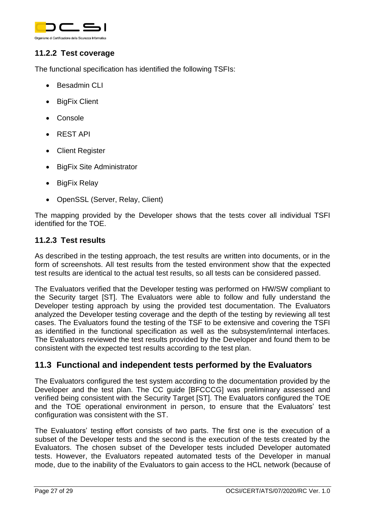![](_page_26_Picture_0.jpeg)

#### <span id="page-26-0"></span>**11.2.2 Test coverage**

The functional specification has identified the following TSFIs:

- Besadmin CLI
- BigFix Client
- Console
- REST API
- Client Register
- BigFix Site Administrator
- BigFix Relay
- OpenSSL (Server, Relay, Client)

The mapping provided by the Developer shows that the tests cover all individual TSFI identified for the TOE.

#### <span id="page-26-1"></span>**11.2.3 Test results**

As described in the testing approach, the test results are written into documents, or in the form of screenshots. All test results from the tested environment show that the expected test results are identical to the actual test results, so all tests can be considered passed.

The Evaluators verified that the Developer testing was performed on HW/SW compliant to the Security target [ST]. The Evaluators were able to follow and fully understand the Developer testing approach by using the provided test documentation. The Evaluators analyzed the Developer testing coverage and the depth of the testing by reviewing all test cases. The Evaluators found the testing of the TSF to be extensive and covering the TSFI as identified in the functional specification as well as the subsystem/internal interfaces. The Evaluators reviewed the test results provided by the Developer and found them to be consistent with the expected test results according to the test plan.

#### <span id="page-26-2"></span>**11.3 Functional and independent tests performed by the Evaluators**

The Evaluators configured the test system according to the documentation provided by the Developer and the test plan. The CC guide [BFCCCG] was preliminary assessed and verified being consistent with the Security Target [ST]. The Evaluators configured the TOE and the TOE operational environment in person, to ensure that the Evaluators' test configuration was consistent with the ST.

The Evaluators' testing effort consists of two parts. The first one is the execution of a subset of the Developer tests and the second is the execution of the tests created by the Evaluators. The chosen subset of the Developer tests included Developer automated tests. However, the Evaluators repeated automated tests of the Developer in manual mode, due to the inability of the Evaluators to gain access to the HCL network (because of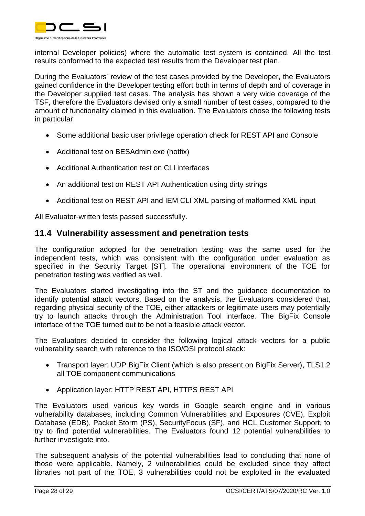![](_page_27_Picture_0.jpeg)

internal Developer policies) where the automatic test system is contained. All the test results conformed to the expected test results from the Developer test plan.

During the Evaluators' review of the test cases provided by the Developer, the Evaluators gained confidence in the Developer testing effort both in terms of depth and of coverage in the Developer supplied test cases. The analysis has shown a very wide coverage of the TSF, therefore the Evaluators devised only a small number of test cases, compared to the amount of functionality claimed in this evaluation. The Evaluators chose the following tests in particular:

- Some additional basic user privilege operation check for REST API and Console
- Additional test on BESAdmin.exe (hotfix)
- Additional Authentication test on CLI interfaces
- An additional test on REST API Authentication using dirty strings
- Additional test on REST API and IEM CLI XML parsing of malformed XML input

All Evaluator-written tests passed successfully.

#### <span id="page-27-0"></span>**11.4 Vulnerability assessment and penetration tests**

The configuration adopted for the penetration testing was the same used for the independent tests, which was consistent with the configuration under evaluation as specified in the Security Target [ST]. The operational environment of the TOE for penetration testing was verified as well.

The Evaluators started investigating into the ST and the guidance documentation to identify potential attack vectors. Based on the analysis, the Evaluators considered that, regarding physical security of the TOE, either attackers or legitimate users may potentially try to launch attacks through the Administration Tool interface. The BigFix Console interface of the TOE turned out to be not a feasible attack vector.

The Evaluators decided to consider the following logical attack vectors for a public vulnerability search with reference to the ISO/OSI protocol stack:

- Transport layer: UDP BigFix Client (which is also present on BigFix Server), TLS1.2 all TOE component communications
- Application layer: HTTP REST API, HTTPS REST API

The Evaluators used various key words in Google search engine and in various vulnerability databases, including Common Vulnerabilities and Exposures (CVE), Exploit Database (EDB), Packet Storm (PS), SecurityFocus (SF), and HCL Customer Support, to try to find potential vulnerabilities. The Evaluators found 12 potential vulnerabilities to further investigate into.

The subsequent analysis of the potential vulnerabilities lead to concluding that none of those were applicable. Namely, 2 vulnerabilities could be excluded since they affect libraries not part of the TOE, 3 vulnerabilities could not be exploited in the evaluated